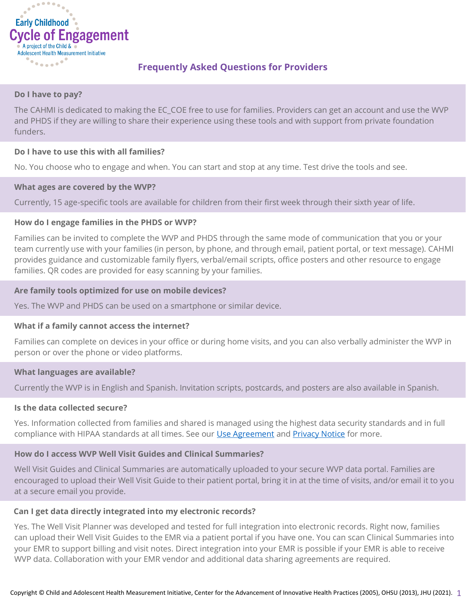

# **Frequently Asked Questions for Providers**

#### **Do I have to pay?**

The CAHMI is dedicated to making the EC\_COE free to use for families. Providers can get an account and use the WVP and PHDS if they are willing to share their experience using these tools and with support from private foundation funders.

## **Do I have to use this with all families?**

No. You choose who to engage and when. You can start and stop at any time. Test drive the tools and see.

## **What ages are covered by the WVP?**

Currently, 15 age-specific tools are available for children from their first week through their sixth year of life.

## **How do I engage families in the PHDS or WVP?**

Families can be invited to complete the WVP and PHDS through the same mode of communication that you or your team currently use with your families (in person, by phone, and through email, patient portal, or text message). CAHMI provides guidance and customizable family flyers, verbal/email scripts, office posters and other resource to engage families. QR codes are provided for easy scanning by your families.

## **Are family tools optimized for use on mobile devices?**

Yes. The WVP and PHDS can be used on a smartphone or similar device.

#### **What if a family cannot access the internet?**

Families can complete on devices in your office or during home visits, and you can also verbally administer the WVP in person or over the phone or video platforms.

#### **What languages are available?**

Currently the WVP is in English and Spanish. Invitation scripts, postcards, and posters are also available in Spanish.

#### **Is the data collected secure?**

Yes. Information collected from families and shared is managed using the highest data security standards and in full compliance with HIPAA standards at all times. See our [Use Agreement](https://www.wellvisitplanner.org/Terms.aspx) an[d Privacy Notice](https://www.wellvisitplanner.org/Privacy.aspx) for more.

# **How do I access WVP Well Visit Guides and Clinical Summaries?**

Well Visit Guides and Clinical Summaries are automatically uploaded to your secure WVP data portal. Families are encouraged to upload their Well Visit Guide to their patient portal, bring it in at the time of visits, and/or email it to you at a secure email you provide.

#### **Can I get data directly integrated into my electronic records?**

Yes. The Well Visit Planner was developed and tested for full integration into electronic records. Right now, families can upload their Well Visit Guides to the EMR via a patient portal if you have one. You can scan Clinical Summaries into your EMR to support billing and visit notes. Direct integration into your EMR is possible if your EMR is able to receive WVP data. Collaboration with your EMR vendor and additional data sharing agreements are required.